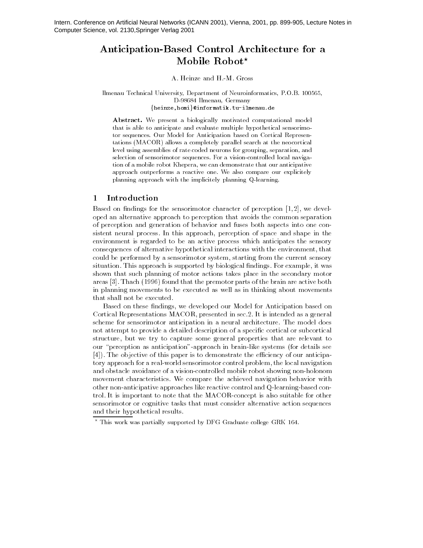# Anticipation-Based Control Architecture for a Mobile Robot<sup>\*</sup>

A. Heinze and H.-M. Gross

Ilmenau Technical University, Department of Neuroinformatics, P.O.B. 100565, D-98684 Ilmenau, Germany {heinze, homi}@informatik.tu-ilmenau.de

Abstract. We present a biologically motivated computational model that is able to anticipate and evaluate multiple hypothetical sensorimotor sequences. Our Model for Anticipation based on Cortical Representations (MACOR) allows a completely parallel search at the neocortical level using assemblies of rate coded neurons for grouping, separation, and selection of sensorimotor sequences. For a vision-controlled local navigation of a mobile robot Khepera, we can demonstrate that our anticipative approach outperforms a reactive one. We also compare our explicitely planning approach with the implicitely planning Q-learning.

## Introduction  $\mathbf{1}$

Based on findings for the sensorimotor character of perception  $[1,2]$ , we developed an alternative approach to perception that avoids the common separation of perception and generation of behavior and fuses both aspects into one consistent neural process. In this approach, perception of space and shape in the environment is regarded to be an active process which anticipates the sensory consequences of alternative hypothetical interactions with the environment, that could be performed by a sensorimotor system, starting from the current sensory situation. This approach is supported by biological findings. For example, it was shown that such planning of motor actions takes place in the secondary motor areas [3]. Thach (1996) found that the premotor parts of the brain are active both in planning movements to be executed as well as in thinking about movements that shall not be executed.

Based on these findings, we developed our Model for Anticipation based on Cortical Representations MACOR, presented in sec. 2. It is intended as a general scheme for sensorimotor anticipation in a neural architecture. The model does not attempt to provide a detailed description of a specific cortical or subcortical structure, but we try to capture some general properties that are relevant to our "perception as anticipation"-approach in brain-like systems (for details see [4]. The objective of this paper is to demonstrate the efficiency of our anticipatory approach for a real-world sensorimotor control problem, the local navigation and obstacle avoidance of a vision-controlled mobile robot showing non-holonom movement characteristics. We compare the achieved navigation behavior with other non-anticipative approaches like reactive control and Q-learning-based control. It is important to note that the MACOR-concept is also suitable for other sensorimotor or cognitive tasks that must consider alternative action sequences and their hypothetical results.

<sup>\*</sup> This work was partially supported by DFG Graduate college GRK 164.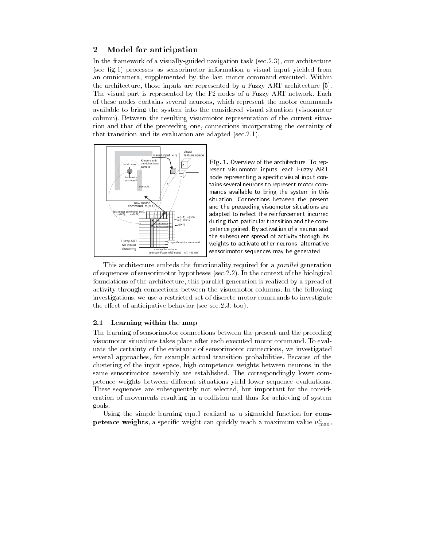## $\overline{2}$ Model for anticipation

In the framework of a visually-guided navigation task (sec.2.3), our architecture (see fig.1) processes as sensorimotor information a visual input yielded from an omnicamera, supplemented by the last motor command executed. Within the architecture, those inputs are represented by a Fuzzy ART architecture [5]. The visual part is represented by the F2-nodes of a Fuzzy ART network. Each of these nodes contains several neurons, which represent the motor commands available to bring the system into the considered visual situation (visuomotor column). Between the resulting visuomotor representation of the current situation and that of the preceeding one, connections incorporating the certainty of that transition and its evaluation are adapted (sec.2.1).



Fig. 1. Overview of the architecture. To represent visuomotor inputs, each Fuzzy ART node representing a specific visual input contains several neurons to represent motor commands available to bring the system in this situation Connections between the present and the preceeding visuomotor situations are adapted to reflect the reinforcement incurred during that particular transition and the competence gained By activation of a neuron and the subsequent spread of activity through its weights to activate other neurons, alternative sensorimotor sequences may be generated.

This architecture embeds the functionality required for a *parallel* generation of sequences of sensorimotor hypotheses (sec.2.2). In the context of the biological foundations of the architecture, this parallel generation is realized by a spread of activity through connections between the visuomotor columns. In the following investigations, we use a restricted set of discrete motor commands to investigate the effect of anticipative behavior (see sec.  $2.3$ , too).

#### Learning within the map 2.1

The learning of sensorimotor connections between the present and the preceding visuomotor situations takes place after each executed motor command. To evaluate the certainty of the existance of sensorimotor connections, we investigated several approaches, for example actual transition probabilities. Because of the clustering of the input space, high competence weights between neurons in the same sensorimotor assembly are established. The correspondingly lower competence weights between different situations yield lower sequence evaluations. These sequences are subsequentely not selected, but important for the consideration of movements resulting in a collision and thus for achieving of system goals.

Using the simple learning equ.1 realized as a sigmoidal function for competence weights, a specific weight can quickly reach a maximum value  $w_{\text{max}}^{\text{c}}$ ,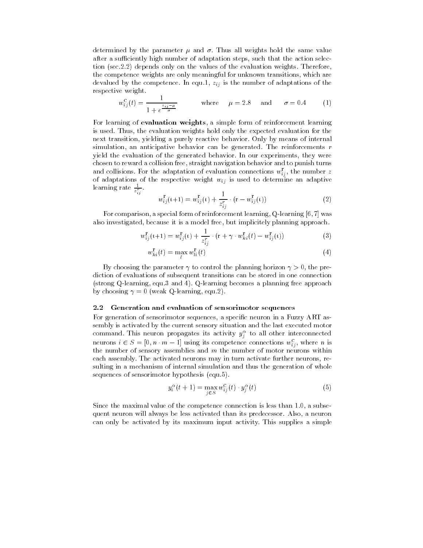determined by the parameter  $\mu$  and  $\sigma$ . Thus all weights hold the same value after a sufficiently high number of adaptation steps, such that the action selection (sec.2.2) depends only on the values of the evaluation weights. Therefore, the competence weights are only meaningful for unknown transitions, which are devalued by the competence. In equ.1,  $z_{ij}$  is the number of adaptations of the respective weight.

$$
w_{ij}^{\text{C}}(t) = \frac{1}{1 + e^{\frac{z_{ij} - \mu}{\sigma}}} \quad \text{where} \quad \mu = 2.8 \quad \text{and} \quad \sigma = 0.4 \quad (1)
$$

For learning of evaluation weights, a simple form of reinforcement learning is used. Thus, the evaluation weights hold only the expected evaluation for the next transition, yielding a purely reactive behavior. Only by means of internal simulation, an anticipative behavior can be generated. The reinforcements  $r$ yield the evaluation of the generated behavior. In our experiments, they were chosen to reward a collision free, straight navigation behavior and to punish turns and collisions. For the adaptation of evaluation connections  $w_{ij}^{\mathbf{r}}$ , the number z of adaptations of the respective weight  $w_{ij}$  is used to determine an adaptive learning rate  $\frac{1}{z^r}$ .

$$
w_{ij}^{\mathbf{r}}(\mathbf{t}+1) = w_{ij}^{\mathbf{r}}(\mathbf{t}) + \frac{1}{z_{ij}^{\mathbf{r}}} \cdot (\mathbf{r} - w_{ij}^{\mathbf{r}}(\mathbf{t}))
$$
\n(2)

For comparison, a special form of reinforcement learning, Q-learning  $[6, 7]$  was also investigated, because it is a model free, but implicitely planning approach.

$$
w_{ij}^{\mathbf{r}}(\mathbf{t}+\mathbf{1}) = w_{ij}^{\mathbf{r}}(\mathbf{t}) + \frac{1}{z_{ij}^{\mathbf{r}}} \cdot (\mathbf{r} + \gamma \cdot w_{ki}^{\mathbf{r}}(\mathbf{t}) - w_{ij}^{\mathbf{r}}(\mathbf{t}))
$$
\n(3)

$$
w_{ki}^{\Gamma}(t) = \max_{l} w_{li}^{\Gamma}(t) \tag{4}
$$

By choosing the parameter  $\gamma$  to control the planning horizon  $\gamma > 0$ , the prediction of evaluations of subsequent transitions can be stored in one connection (strong Q-learning, equ.3 and 4). Q-learning becomes a planning free approach by choosing  $\gamma = 0$  (weak Q-learning, equ.2).

#### $2.2\,$ Generation and evaluation of sensorimotor sequences

For generation of sensorimotor sequences, a specific neuron in a Fuzzy ART assembly is activated by the current sensory situation and the last executed motor command. This neuron propagates its activity  $y_j^{\alpha}$  to all other interconnected neurons  $i \in S = [0, n \cdot m - 1]$  using its competence connections  $w_{ii}^c$ , where *n* is the number of sensory assemblies and  $m$  the number of motor neurons within each assembly. The activated neurons may in turn activate further neurons, resulting in a mechanism of internal simulation and thus the generation of whole sequences of sensorimotor hypothesis  $(equ.5)$ .

$$
y_i^{\alpha}(t+1) = \max_{j \in S} w_{ij}^{\mathcal{C}}(t) \cdot y_j^{\alpha}(t)
$$
 (5)

Since the maximal value of the competence connection is less than 1.0, a subsequent neuron will always be less activated than its predecessor. Also, a neuron can only be activated by its maximum input activity. This supplies a simple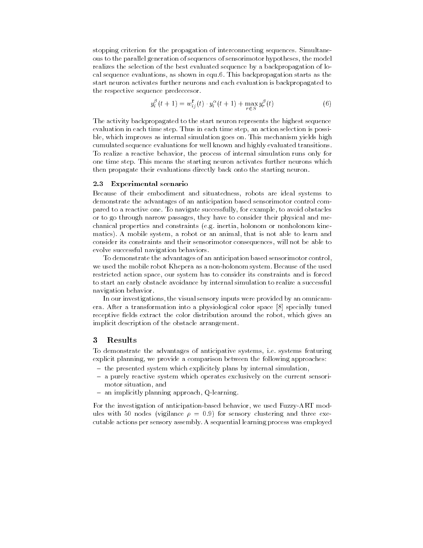stopping criterion for the propagation of interconnecting sequences. Simultaneous to the parallel generation of sequences of sensorimotor hypotheses, the model realizes the selection of the best evaluated sequence by a backpropagation of local sequence evaluations, as shown in equ.6. This backpropagation starts as the start neuron activates further neurons and each evaluation is backpropagated to the respective sequence predeccesor.

$$
y_i^{\beta}(t+1) = w_{ij}^{\mathbf{r}}(t) \cdot y_i^{\alpha}(t+1) + \max_{r \in S} y_r^{\beta}(t)
$$
 (6)

The activity backpropagated to the start neuron represents the highest sequence evaluation in each time step. Thus in each time step, an action selection is possible, which improves as internal simulation goes on. This mechanism yields high cumulated sequence evaluations for well known and highly evaluated transitions. To realize a reactive behavior, the process of internal simulation runs only for one time step. This means the starting neuron activates further neurons which then propagate their evaluations directly back onto the starting neuron.

# 2.3 Experimental scenario

Because of their embodiment and situatedness, robots are ideal systems to demonstrate the advantages of an anticipation based sensorimotor control compared to a reactive one. To navigate successfully, for example, to avoid obstacles or to go through narrow passages, they have to consider their physical and mechanical properties and constraints (e.g. inertia, holonom or nonholonom kinematics). A mobile system, a robot or an animal, that is not able to learn and consider its constraints and their sensorimotor consequences, will not be able to evolve successful navigation behaviors.

To demonstrate the advantages of an anticipation based sensorimotor control, we used the mobile robot Khepera as a non-holonom system. Because of the used restricted action space, our system has to consider its constraints and is forced to start an early obstacle avoidance by internal simulation to realize a successful navigation behavior.

In our investigations, the visual sensory inputs were provided by an omnicamera. After a transformation into a physiological color space [8] specially tuned receptive fields extract the color distribution around the robot, which gives an implicit description of the obstacle arrangement.

### $\mathbf{3}$ Results

To demonstrate the advantages of anticipative systems, i.e. systems featuring explicit planning, we provide a comparison between the following approaches:

- the presented system which explicitely plans by internal simulation,
- a purely reactive system which operates exclusively on the current sensorimotor situation, and
- an implicitly planning approach, Q-learning.

For the investigation of anticipation-based behavior, we used Fuzzy-ART modules with 50 nodes (vigilance  $\rho = 0.9$ ) for sensory clustering and three executable actions per sensory assembly. A sequential learning process was employed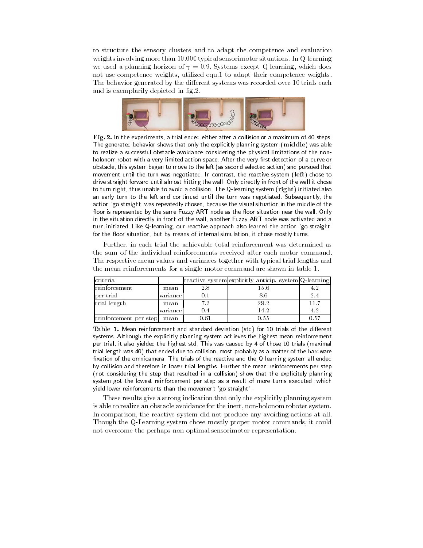to structure the sensory clusters and to adapt the competence and evaluation weights involving more than 10.000 typical sensorimotor situations. In Q-learning we used a planning horizon of  $\gamma = 0.9$ . Systems except Q-learning, which does not use competence weights, utilized equ.1 to adapt their competence weights. The behavior generated by the different systems was recorded over 10 trials each and is exemplarily depicted in fig.2.



Fig. 2. In the experiments, a trial ended either after a collision or a maximum of 40 steps. The generated behavior shows that only the explicitly planning system (middle) was able to realize a successful obstacle avoidance considering the physical limitations of the nonholonom robot with a very limited action space. After the very first detection of a curve or obstacle, this system began to move to the left (as second selected action) and pursued that movement until the turn was negotiated. In contrast, the reactive system (left) chose to drive straight forward until almost hitting the wall. Only directly in front of the wall it chose to turn right, thus unable to avoid a collision. The Q-learning system (right) initiated also an early turn to the left and continued until the turn was negotiated. Subsequently, the action 'go straight' was repeatedly chosen, because the visual situation in the middle of the floor is represented by the same Fuzzy ART node as the floor situation near the wall. Only in the situation directly in front of the wall, another Fuzzy ART node was activated and a turn initiated. Like Q-learning, our reactive approach also learned the action 'go straight' for the floor situation, but by means of internal simulation, it chose mostly turns.

Further, in each trial the achievable total reinforcement was determined as the sum of the individual reinforcements received after each motor command. The respective mean values and variances together with typical trial lengths and the mean reinforcements for a single motor command are shown in table 1.

| criteria               |          |      | reactive system explicitly anticip. system Q-learning |      |
|------------------------|----------|------|-------------------------------------------------------|------|
| reinforcement          | mean     | 2.8  | 15.6                                                  | 4.2  |
| per trial              | variance |      | 8.6                                                   | 2.4  |
| trial length           | mean     |      | 29.2                                                  | 11.7 |
|                        | variance | 0.4  | 14.2                                                  | 4.2  |
| reinforcement per step | mean     | 0.61 | 0.55                                                  | 0.57 |

Table 1. Mean reinforcement and standard deviation (std) for 10 trials of the different systems. Although the explicitly planning system achieves the highest mean reinforcement per trial, it also yielded the highest std. This was caused by 4 of those 10 trials (maximal trial length was 40) that ended due to collision, most probably as a matter of the hardware fixation of the omnicamera. The trials of the reactive and the Q-learning system all ended by collision and therefore in lower trial lengths. Further the mean reinforcements per step (not considering the step that resulted in a collision) show that the explicitely planning system got the lowest reinforcement per step as a result of more turns executed, which yield lower reinforcements than the movement 'go straight'.

These results give a strong indication that only the explicitly planning system is able to realize an obstacle avoidance for the inert, non-holonom roboter system. In comparison, the reactive system did not produce any avoiding actions at all. Though the Q-Learning system chose mostly proper motor commands, it could not overcome the perhaps non-optimal sensorimotor representation.